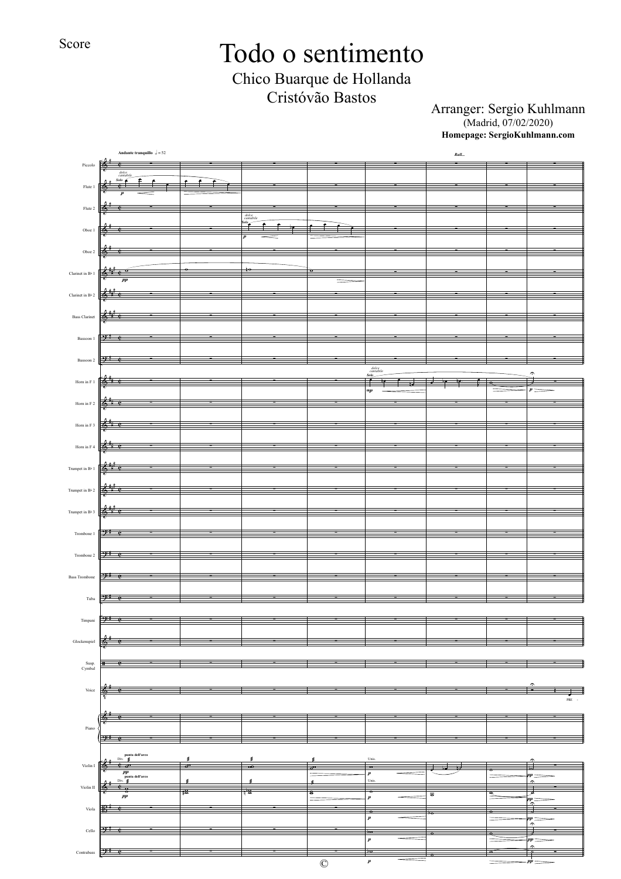Score

# Todo o sentimento

Chico Buarque de Hollanda Cristóvão Bastos

Arranger: Sergio Kuhlmann (Madrid, 07/02/2020) **Homepage: SergioKuhlmann.com**

|                                                             | Andante tranquillo $\sqrt{5} = 52$                                                                           |                         |                                          |                           |                                                                                                                                                                                                                                                                                                                                                                                                                                                                                                                                                                                                                                   | $\it{Rall}$                      |                             |                               |
|-------------------------------------------------------------|--------------------------------------------------------------------------------------------------------------|-------------------------|------------------------------------------|---------------------------|-----------------------------------------------------------------------------------------------------------------------------------------------------------------------------------------------------------------------------------------------------------------------------------------------------------------------------------------------------------------------------------------------------------------------------------------------------------------------------------------------------------------------------------------------------------------------------------------------------------------------------------|----------------------------------|-----------------------------|-------------------------------|
| $\operatorname{Piccolo}$                                    | $\mathbb{R}^*$<br>$\bullet$<br>dolce<br>cantab                                                               |                         |                                          |                           |                                                                                                                                                                                                                                                                                                                                                                                                                                                                                                                                                                                                                                   |                                  |                             |                               |
| Flute 1                                                     | $Solo \t{e}$<br>Ê<br>$\overline{c}$                                                                          |                         |                                          |                           |                                                                                                                                                                                                                                                                                                                                                                                                                                                                                                                                                                                                                                   |                                  |                             |                               |
|                                                             |                                                                                                              |                         |                                          |                           |                                                                                                                                                                                                                                                                                                                                                                                                                                                                                                                                                                                                                                   |                                  |                             |                               |
| Flute 2                                                     |                                                                                                              |                         | dolce<br>cantabile                       |                           |                                                                                                                                                                                                                                                                                                                                                                                                                                                                                                                                                                                                                                   |                                  |                             |                               |
| Oboe 1                                                      |                                                                                                              |                         | $\stackrel{\scriptscriptstyle{io}}{\pm}$ |                           |                                                                                                                                                                                                                                                                                                                                                                                                                                                                                                                                                                                                                                   |                                  |                             |                               |
|                                                             |                                                                                                              |                         |                                          |                           |                                                                                                                                                                                                                                                                                                                                                                                                                                                                                                                                                                                                                                   |                                  |                             |                               |
| Oboe $2$                                                    |                                                                                                              |                         |                                          |                           |                                                                                                                                                                                                                                                                                                                                                                                                                                                                                                                                                                                                                                   |                                  |                             |                               |
| Clarinet in $\rm B\flat$ 1                                  | т.,                                                                                                          |                         |                                          |                           |                                                                                                                                                                                                                                                                                                                                                                                                                                                                                                                                                                                                                                   |                                  |                             |                               |
|                                                             | pp                                                                                                           |                         |                                          |                           |                                                                                                                                                                                                                                                                                                                                                                                                                                                                                                                                                                                                                                   |                                  |                             |                               |
| Clarinet in B $\geq$ 2                                      |                                                                                                              |                         |                                          |                           |                                                                                                                                                                                                                                                                                                                                                                                                                                                                                                                                                                                                                                   |                                  |                             |                               |
| <b>Bass Clarinet</b>                                        | 6                                                                                                            |                         |                                          |                           |                                                                                                                                                                                                                                                                                                                                                                                                                                                                                                                                                                                                                                   |                                  |                             |                               |
|                                                             |                                                                                                              |                         |                                          |                           |                                                                                                                                                                                                                                                                                                                                                                                                                                                                                                                                                                                                                                   |                                  |                             |                               |
| Bassoon 1                                                   | 91                                                                                                           |                         |                                          |                           |                                                                                                                                                                                                                                                                                                                                                                                                                                                                                                                                                                                                                                   |                                  |                             |                               |
| Bassoon 2                                                   | -) 1                                                                                                         |                         |                                          |                           |                                                                                                                                                                                                                                                                                                                                                                                                                                                                                                                                                                                                                                   |                                  |                             |                               |
|                                                             |                                                                                                              |                         |                                          |                           | $\fbox{color} \begin{tabular}{c} \hline \quad \quad \quad & \quad \quad \\ \hline \quad \quad \quad & \quad \quad \\ \quad \quad & \quad \quad \\ \quad \quad & \quad \quad \\ \quad \quad & \quad \quad \\ \hline \quad \quad & \quad \quad \\ \hline \quad \quad & \quad \quad \\ \hline \quad \quad & \quad \quad \\ \hline \quad \quad & \quad \quad \\ \hline \quad \quad & \quad \quad \\ \hline \quad \quad & \quad \quad \\ \hline \quad \quad & \quad \quad \\ \hline \quad \quad & \quad \quad \\ \hline \quad \quad & \quad \quad \\ \hline \quad \quad & \quad \quad \\ \hline \quad \quad & \quad \quad \\ \hline \$ |                                  |                             | $\widehat{\phantom{a}}$       |
| Hom in ${\rm F}$ 1                                          |                                                                                                              |                         |                                          |                           | mp                                                                                                                                                                                                                                                                                                                                                                                                                                                                                                                                                                                                                                |                                  | œ                           |                               |
| Hom in F $2$                                                |                                                                                                              |                         |                                          |                           |                                                                                                                                                                                                                                                                                                                                                                                                                                                                                                                                                                                                                                   |                                  |                             |                               |
| Hom in F $3$                                                |                                                                                                              |                         |                                          |                           |                                                                                                                                                                                                                                                                                                                                                                                                                                                                                                                                                                                                                                   |                                  |                             |                               |
|                                                             |                                                                                                              |                         |                                          |                           |                                                                                                                                                                                                                                                                                                                                                                                                                                                                                                                                                                                                                                   |                                  |                             |                               |
| Hom in F $4\,$                                              |                                                                                                              |                         |                                          |                           |                                                                                                                                                                                                                                                                                                                                                                                                                                                                                                                                                                                                                                   |                                  |                             |                               |
| Trumpet in $\rm{B}\flat$ $1$                                |                                                                                                              |                         |                                          |                           |                                                                                                                                                                                                                                                                                                                                                                                                                                                                                                                                                                                                                                   |                                  |                             |                               |
|                                                             |                                                                                                              |                         |                                          |                           |                                                                                                                                                                                                                                                                                                                                                                                                                                                                                                                                                                                                                                   |                                  |                             |                               |
| Trumpet in $\rm B\flat\,2$                                  | ≵<br>≖                                                                                                       |                         |                                          |                           |                                                                                                                                                                                                                                                                                                                                                                                                                                                                                                                                                                                                                                   |                                  |                             |                               |
| Trumpet in $\rm B\flat\,3$                                  | 菕                                                                                                            |                         |                                          |                           |                                                                                                                                                                                                                                                                                                                                                                                                                                                                                                                                                                                                                                   |                                  |                             |                               |
|                                                             |                                                                                                              |                         |                                          |                           |                                                                                                                                                                                                                                                                                                                                                                                                                                                                                                                                                                                                                                   |                                  |                             |                               |
| Trombone 1                                                  | $\cdot$                                                                                                      |                         |                                          |                           |                                                                                                                                                                                                                                                                                                                                                                                                                                                                                                                                                                                                                                   |                                  |                             |                               |
| Trombone 2                                                  | -98<br>ᄚ                                                                                                     |                         |                                          |                           |                                                                                                                                                                                                                                                                                                                                                                                                                                                                                                                                                                                                                                   |                                  |                             |                               |
|                                                             |                                                                                                              |                         |                                          |                           |                                                                                                                                                                                                                                                                                                                                                                                                                                                                                                                                                                                                                                   |                                  |                             |                               |
| <b>Bass Trombone</b>                                        | 9 е                                                                                                          |                         |                                          |                           |                                                                                                                                                                                                                                                                                                                                                                                                                                                                                                                                                                                                                                   |                                  |                             |                               |
| Tuba                                                        | $2^*$ e                                                                                                      |                         |                                          |                           |                                                                                                                                                                                                                                                                                                                                                                                                                                                                                                                                                                                                                                   |                                  |                             |                               |
|                                                             |                                                                                                              |                         |                                          |                           |                                                                                                                                                                                                                                                                                                                                                                                                                                                                                                                                                                                                                                   |                                  |                             |                               |
| Timpani                                                     | 94e                                                                                                          |                         |                                          |                           |                                                                                                                                                                                                                                                                                                                                                                                                                                                                                                                                                                                                                                   |                                  |                             |                               |
| ${\bf Glock}$ enspiel                                       | ¢<br>6                                                                                                       |                         | ÷                                        |                           |                                                                                                                                                                                                                                                                                                                                                                                                                                                                                                                                                                                                                                   |                                  |                             | ÷                             |
|                                                             |                                                                                                              |                         |                                          |                           |                                                                                                                                                                                                                                                                                                                                                                                                                                                                                                                                                                                                                                   |                                  |                             |                               |
| $\begin{array}{c} \text{Sup.} \\ \text{Cymbal} \end{array}$ | 표                                                                                                            |                         |                                          |                           |                                                                                                                                                                                                                                                                                                                                                                                                                                                                                                                                                                                                                                   |                                  |                             |                               |
|                                                             |                                                                                                              |                         |                                          |                           |                                                                                                                                                                                                                                                                                                                                                                                                                                                                                                                                                                                                                                   |                                  |                             | r.<br>−                       |
| $\rm Voice$                                                 | ¢<br>Т.<br>맇                                                                                                 |                         |                                          |                           |                                                                                                                                                                                                                                                                                                                                                                                                                                                                                                                                                                                                                                   |                                  |                             | $\mbox{PRE}$ .                |
|                                                             | $\frac{2}{6}$ $\frac{1}{6}$                                                                                  |                         |                                          |                           |                                                                                                                                                                                                                                                                                                                                                                                                                                                                                                                                                                                                                                   |                                  |                             | Ξ                             |
| Piano                                                       |                                                                                                              |                         |                                          |                           |                                                                                                                                                                                                                                                                                                                                                                                                                                                                                                                                                                                                                                   |                                  |                             |                               |
|                                                             | $2^*$ e                                                                                                      |                         |                                          |                           |                                                                                                                                                                                                                                                                                                                                                                                                                                                                                                                                                                                                                                   |                                  |                             |                               |
|                                                             | $\,$ punta dell'arco<br>Div.<br>ś                                                                            | ø                       | ś                                        | ś                         | Unis.                                                                                                                                                                                                                                                                                                                                                                                                                                                                                                                                                                                                                             |                                  |                             |                               |
| Violin $\rm I$                                              | $e_{\infty}$<br>ѭ<br>$\begin{array}{c} \textit{pp} \\ \textit{punta dell'arco} \\ \textit{Div.} \end{array}$ | $\overline{\mathbf{e}}$ | $\overline{\bullet}$                     | $\frac{1}{\sqrt{2}}$      | $\overline{\bullet}$<br>$\boldsymbol{p}$                                                                                                                                                                                                                                                                                                                                                                                                                                                                                                                                                                                          | J<br>∓                           |                             | J<br>$pp =$                   |
| Violin $\rm II$                                             | €,<br>ञ                                                                                                      | ś<br>18                 | ś<br>唇                                   | á<br>$\overline{\bullet}$ | Unis.<br>$\overline{\cdot}$                                                                                                                                                                                                                                                                                                                                                                                                                                                                                                                                                                                                       |                                  |                             | $\hat{ }$<br>₹                |
|                                                             | $p\bar{p}$                                                                                                   |                         |                                          |                           | $\boldsymbol{p}$                                                                                                                                                                                                                                                                                                                                                                                                                                                                                                                                                                                                                  | $\overline{\boldsymbol{\sigma}}$ | $\stackrel{\bullet}{=}$     | $\frac{pp}{2}$                |
| Viola                                                       | 瞪<br>$\epsilon$<br>ŀ                                                                                         | Ŧ                       | Ξ                                        |                           | p<br>$\pmb{p}$                                                                                                                                                                                                                                                                                                                                                                                                                                                                                                                                                                                                                    | $\overline{\phantom{0}}$         | p<br>$=$                    | ₹<br>$\frac{pp}{\hat{}}$      |
| $\operatorname{Cell}$                                       | $9^*$ e                                                                                                      |                         |                                          |                           | $\overline{58}$                                                                                                                                                                                                                                                                                                                                                                                                                                                                                                                                                                                                                   | þ                                | $\overline{\mathbf{c}}$     |                               |
|                                                             |                                                                                                              |                         |                                          |                           | $\pmb{p}$                                                                                                                                                                                                                                                                                                                                                                                                                                                                                                                                                                                                                         |                                  | $=$                         | $pp -$<br>$\hat{\phantom{a}}$ |
| $\operatorname{Contrabass}$                                 | $2^i$ e                                                                                                      |                         |                                          | $\mathbb{O}$              | $50 -$<br>$\boldsymbol{p}$                                                                                                                                                                                                                                                                                                                                                                                                                                                                                                                                                                                                        | 70                               | $\overline{\bullet}$<br>$=$ | $ pp =$                       |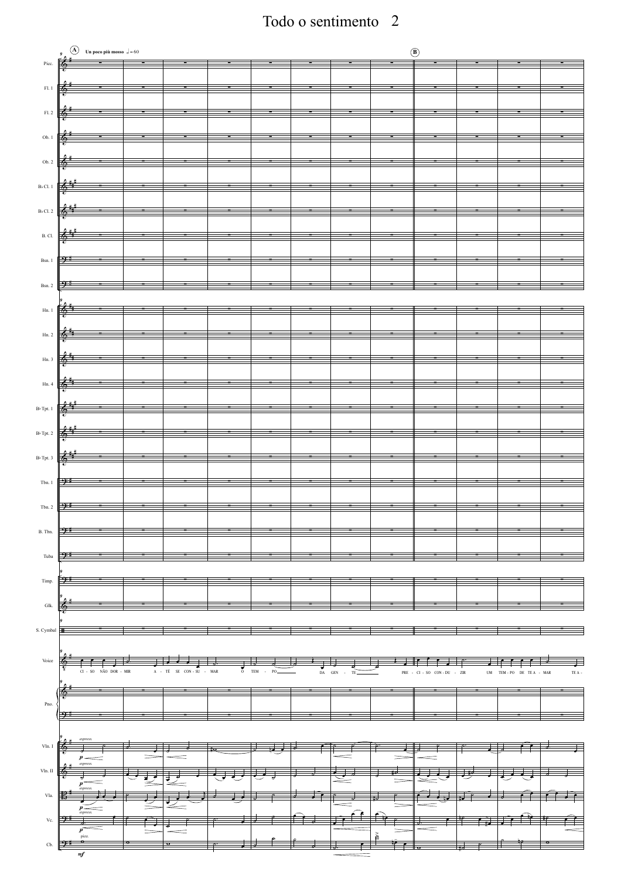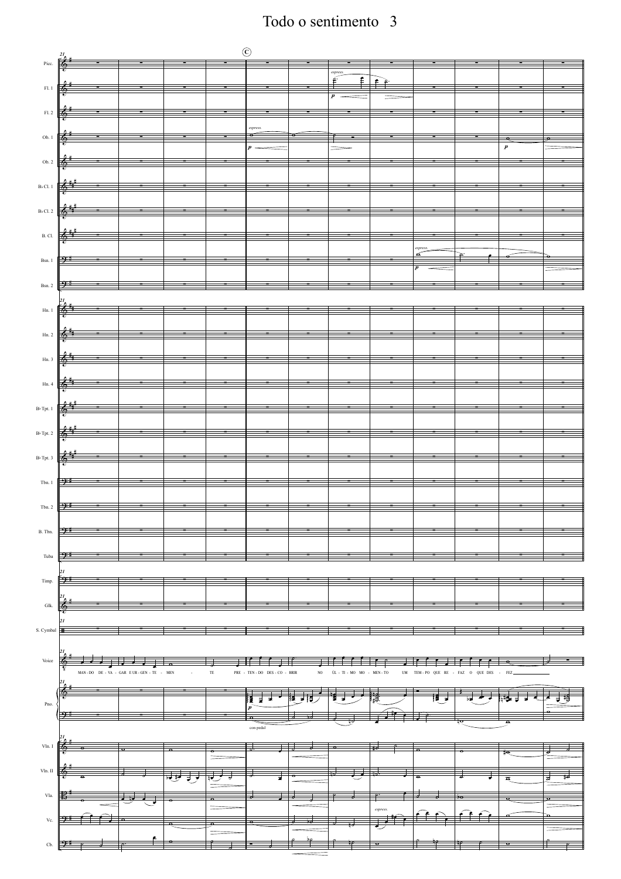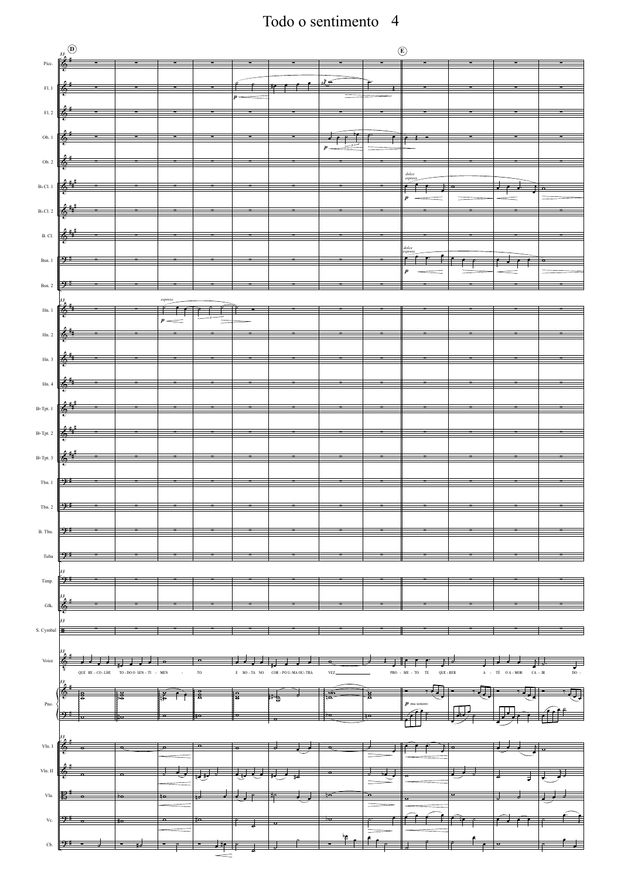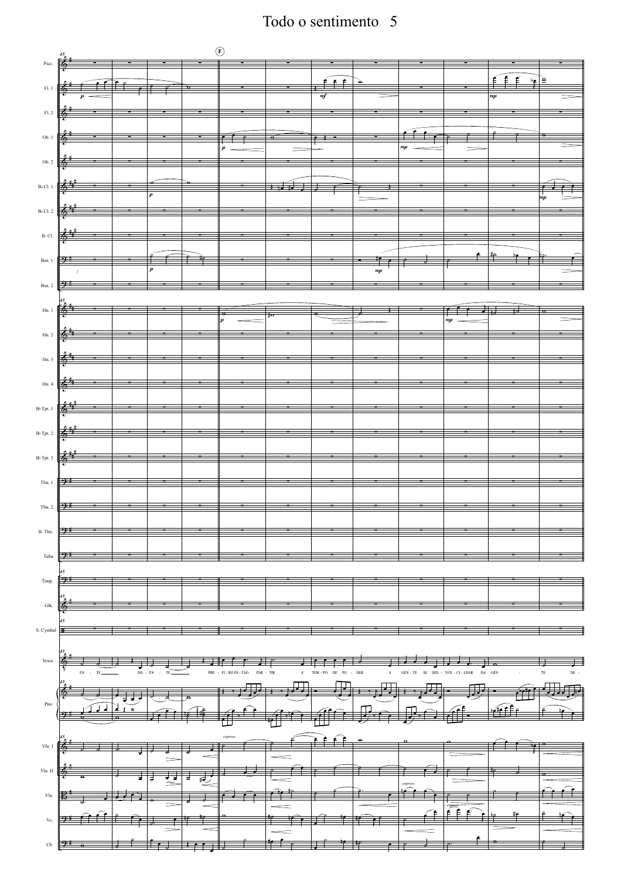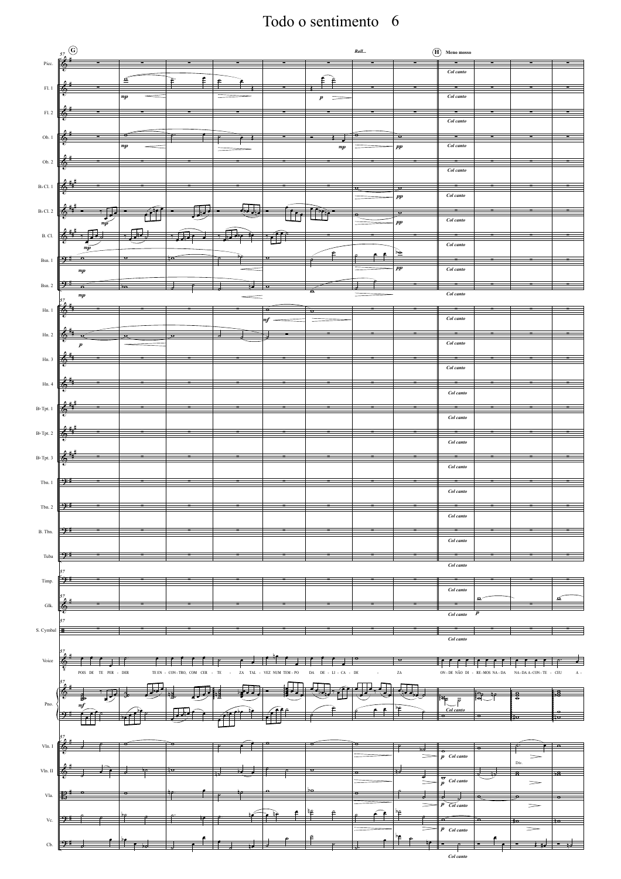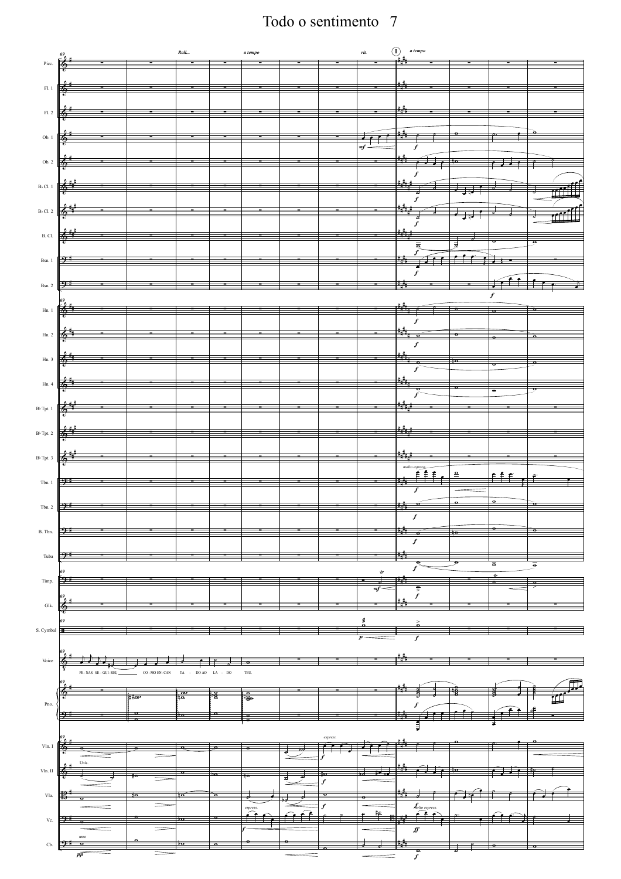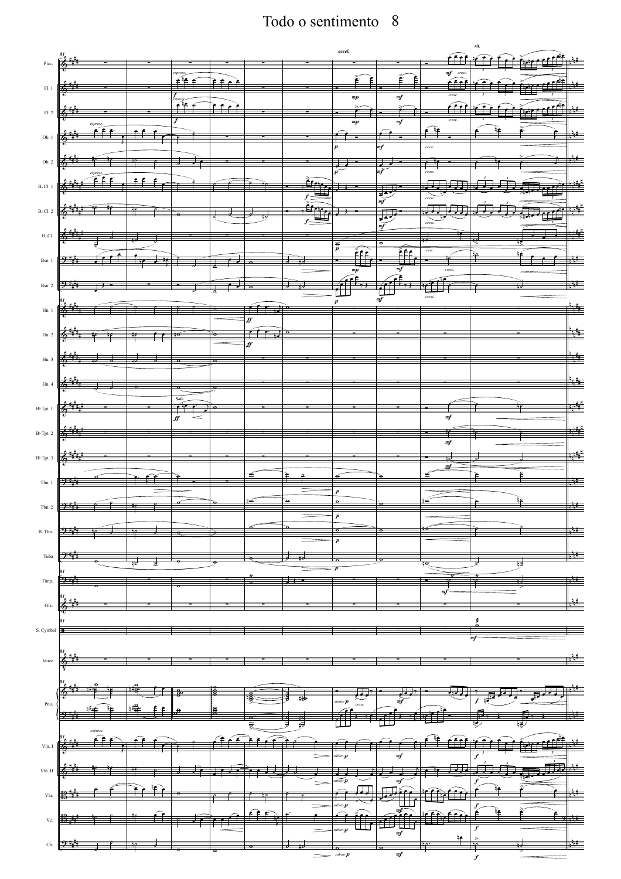| 81<br>≵<br>Picc.                                    |                                                                      |              |                                                                                                                                                                                                                                                                                                                                                                                 |                         |             |                  | accel.                            |                                       | ĹĤ                            | ru.                   | مادا                     |
|-----------------------------------------------------|----------------------------------------------------------------------|--------------|---------------------------------------------------------------------------------------------------------------------------------------------------------------------------------------------------------------------------------------------------------------------------------------------------------------------------------------------------------------------------------|-------------------------|-------------|------------------|-----------------------------------|---------------------------------------|-------------------------------|-----------------------|--------------------------|
| $\rm{Fl.}$ $1$<br>6.                                |                                                                      |              | espress.<br>$\begin{picture}(20,20) \put(0,0){\vector(0,1){100}} \put(15,0){\vector(0,1){100}} \put(15,0){\vector(0,1){100}} \put(15,0){\vector(0,1){100}} \put(15,0){\vector(0,1){100}} \put(15,0){\vector(0,1){100}} \put(15,0){\vector(0,1){100}} \put(15,0){\vector(0,1){100}} \put(15,0){\vector(0,1){100}} \put(15,0){\vector(0,1){100}} \put(15,0){\vector(0,1){100}} \$ | <u>er è</u>             |             |                  | Ē.                                | Ě<br>Ê                                | $\frac{m f}{\sqrt{2\pi}}$     |                       | ale f                    |
| FL.2<br>6                                           |                                                                      |              | $\overbrace{\phantom{a}}^{\text{express}}$                                                                                                                                                                                                                                                                                                                                      | <u>ਜਿੰ•ੇ</u>            |             |                  | $\it mp$                          | $\it mf$                              | cresc<br>ff                   |                       |                          |
| Ob. $1$                                             | espress.<br>T€ e                                                     |              | $\boldsymbol{f}$                                                                                                                                                                                                                                                                                                                                                                |                         |             |                  | $\it mp$                          | $\it mf$                              | cresc<br>≨ آ≩                 |                       |                          |
|                                                     |                                                                      |              |                                                                                                                                                                                                                                                                                                                                                                                 |                         |             |                  |                                   | mf                                    | cresc.                        |                       |                          |
|                                                     | $\overbrace{\qquad \qquad \qquad }^{\qquad \qquad \textit{express}}$ | £ £          |                                                                                                                                                                                                                                                                                                                                                                                 |                         |             |                  |                                   | $m\bar{f}$                            | cresc.<br>月<br>$\overline{a}$ |                       | $\overline{\phantom{a}}$ |
|                                                     |                                                                      |              |                                                                                                                                                                                                                                                                                                                                                                                 |                         |             |                  |                                   | <u>J.</u><br>$\overline{\mathit{mf}}$ |                               |                       |                          |
| 6                                                   |                                                                      |              |                                                                                                                                                                                                                                                                                                                                                                                 |                         |             | $f_{\mathbb{Z}}$ |                                   |                                       | cresc.                        |                       |                          |
| チェー                                                 |                                                                      | ä.           |                                                                                                                                                                                                                                                                                                                                                                                 |                         |             |                  | $\frac{1}{p}$<br>_<br>∰⊑          | $\overline{\sigma}$<br>Íf             | cresc.                        |                       |                          |
| 9 மு<br><b>Bsn. 2</b>                               |                                                                      |              |                                                                                                                                                                                                                                                                                                                                                                                 |                         |             |                  | $\it mp$<br>$\vec{f}$             | $_{mf}$<br>$\overline{f}$             | cresc                         |                       |                          |
|                                                     |                                                                      |              |                                                                                                                                                                                                                                                                                                                                                                                 | $\overline{\mathbf{u}}$ |             |                  | $\boldsymbol{p}$                  | m f                                   | cresc.                        |                       |                          |
| 6,                                                  |                                                                      |              |                                                                                                                                                                                                                                                                                                                                                                                 |                         | ff<br>≖     |                  |                                   |                                       |                               |                       |                          |
| ⊕                                                   |                                                                      | ₩<br>≁       | ŧ                                                                                                                                                                                                                                                                                                                                                                               |                         | $\pm$<br>ff |                  |                                   |                                       |                               |                       |                          |
|                                                     |                                                                      |              |                                                                                                                                                                                                                                                                                                                                                                                 |                         |             |                  |                                   |                                       |                               |                       |                          |
|                                                     |                                                                      |              | Solo                                                                                                                                                                                                                                                                                                                                                                            |                         |             |                  |                                   |                                       |                               |                       |                          |
|                                                     |                                                                      |              | ∯<br><                                                                                                                                                                                                                                                                                                                                                                          |                         |             |                  |                                   |                                       | $m\!f$                        |                       |                          |
| 6                                                   |                                                                      |              |                                                                                                                                                                                                                                                                                                                                                                                 |                         |             |                  |                                   |                                       | $\it mf$                      |                       |                          |
| $B$ <sub>D</sub> <sub>Tpt. 3</sub> $\frac{2}{3}$    |                                                                      |              |                                                                                                                                                                                                                                                                                                                                                                                 |                         | ≘           | ₽                |                                   |                                       | ₫                             | ₽                     | $\epsilon$               |
| つけ                                                  |                                                                      | Ĥ            |                                                                                                                                                                                                                                                                                                                                                                                 |                         |             |                  | $\pmb{p}$                         |                                       |                               |                       |                          |
| Tbn. 2 $\left \frac{\partial u}{\partial t}\right $ |                                                                      |              |                                                                                                                                                                                                                                                                                                                                                                                 |                         |             | `e               | $\Omega$                          | σ                                     |                               |                       |                          |
| うし                                                  |                                                                      | ₩            | $\overline{\mathbf{a}}$                                                                                                                                                                                                                                                                                                                                                         | $\overline{\mathbf{u}}$ |             |                  | $\sigma$<br>$\boldsymbol{p}$      | $\circ$                               |                               |                       |                          |
| 9 H I                                               |                                                                      |              |                                                                                                                                                                                                                                                                                                                                                                                 |                         |             |                  |                                   |                                       |                               |                       |                          |
| 91. (1                                              |                                                                      |              |                                                                                                                                                                                                                                                                                                                                                                                 |                         |             |                  |                                   |                                       | тJ                            | -10                   |                          |
|                                                     |                                                                      |              |                                                                                                                                                                                                                                                                                                                                                                                 |                         |             |                  |                                   |                                       |                               |                       |                          |
| S. Cymbal<br>⊞                                      |                                                                      |              |                                                                                                                                                                                                                                                                                                                                                                                 |                         |             |                  |                                   |                                       |                               | s<br>mf               |                          |
| $\mbox{Voice}$<br>௯                                 |                                                                      |              |                                                                                                                                                                                                                                                                                                                                                                                 |                         |             |                  |                                   |                                       |                               |                       |                          |
|                                                     |                                                                      |              |                                                                                                                                                                                                                                                                                                                                                                                 |                         |             |                  |                                   |                                       |                               |                       |                          |
|                                                     |                                                                      | <u>hip</u> e |                                                                                                                                                                                                                                                                                                                                                                                 |                         |             |                  | subito $\boldsymbol{p}$<br>cresc. | $\frac{1}{\frac{1}{n} \frac{1}{n}}$   | करा                           | <del>्रा</del> ज्ञसम् | ₹                        |
|                                                     | espress.                                                             |              |                                                                                                                                                                                                                                                                                                                                                                                 |                         |             | 眃                | $\overline{\cdot}$                |                                       |                               |                       | p<br>使                   |
|                                                     |                                                                      |              |                                                                                                                                                                                                                                                                                                                                                                                 |                         |             |                  | $ubito$ $\boldsymbol{p}$          | mf                                    |                               |                       |                          |
| ⊕                                                   |                                                                      |              |                                                                                                                                                                                                                                                                                                                                                                                 |                         |             |                  | subito $p$                        |                                       | ₹.                            |                       |                          |
|                                                     |                                                                      | `≞ ≩         |                                                                                                                                                                                                                                                                                                                                                                                 |                         |             |                  | subito $\boldsymbol{p}$           |                                       |                               |                       |                          |
| Ð.                                                  |                                                                      |              |                                                                                                                                                                                                                                                                                                                                                                                 |                         |             |                  | subito $\boldsymbol{p}$           | m£                                    | ≄                             |                       | ⊬ و⊬                     |
| うや                                                  |                                                                      |              |                                                                                                                                                                                                                                                                                                                                                                                 |                         |             |                  |                                   | $\it mf$                              |                               | -10                   |                          |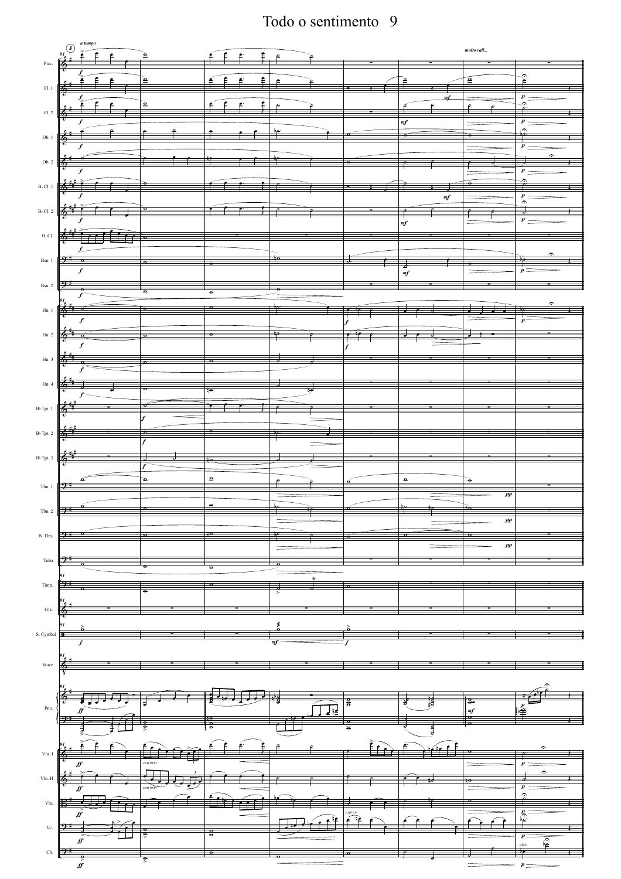